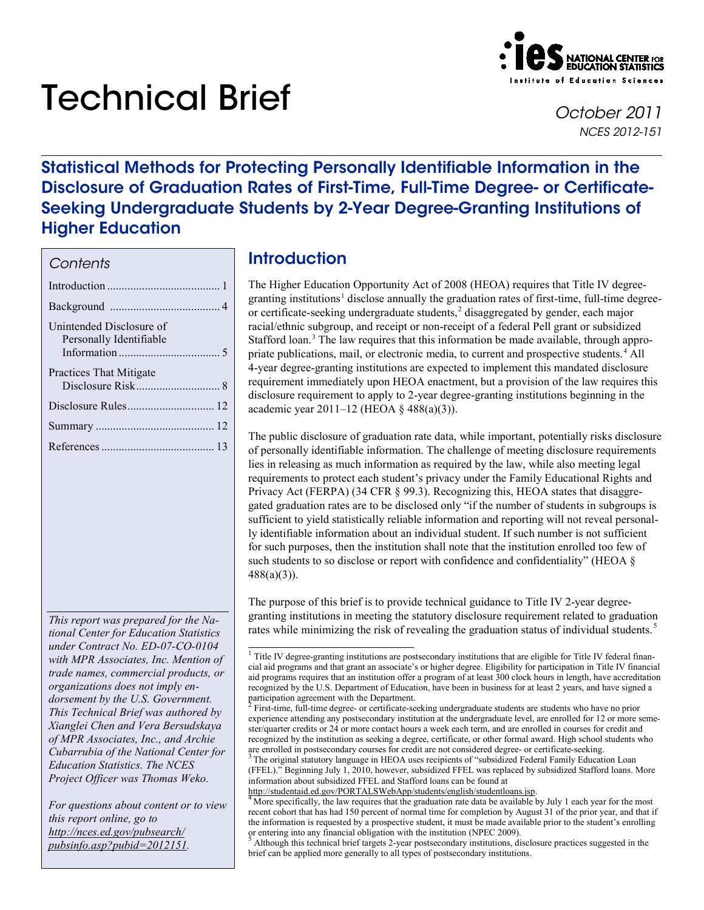# Technical Brief *October <sup>2011</sup>*



*NCES 2012-151*

# Statistical Methods for Protecting Personally Identifiable Information in the Disclosure of Graduation Rates of First-Time, Full-Time Degree- or Certificate-Seeking Undergraduate Students by 2-Year Degree-Granting Institutions of Higher Education

## *Contents*

| Unintended Disclosure of<br>Personally Identifiable |
|-----------------------------------------------------|
| Practices That Mitigate                             |
|                                                     |
|                                                     |
|                                                     |

<span id="page-0-1"></span><span id="page-0-0"></span>*This report was prepared for the National Center for Education Statistics under Contract No. ED-07-CO-0104 with MPR Associates, Inc. Mention of trade names, commercial products, or organizations does not imply endorsement by the U.S. Government. This Technical Brief was authored by Xianglei Chen and Vera Bersudskaya of MPR Associates, Inc., and Archie Cubarrubia of the National Center for Education Statistics. The NCES Project Officer was Thomas Weko.*

<span id="page-0-4"></span><span id="page-0-3"></span><span id="page-0-2"></span>*For questions about content or to view this report online, go to http://nces.ed.gov/pubsearch/ [pubsinfo.asp?pubid=2012151.](http://nces.ed.gov/pubsearch/pubsinfo.asp?pubid=2012151)* 

# **Introduction**

The Higher Education Opportunity Act of 2008 (HEOA) requires that Title IV degree-granting institutions<sup>[1](#page-0-0)</sup> disclose annually the graduation rates of first-time, full-time degreeor certificate-seeking undergraduate students, [2](#page-0-1) disaggregated by gender, each major racial/ethnic subgroup, and receipt or non-receipt of a federal Pell grant or subsidized Stafford loan. [3](#page-0-2) The law requires that this information be made available, through appro-priate publications, mail, or electronic media, to current and prospective students.<sup>[4](#page-0-3)</sup> All 4-year degree-granting institutions are expected to implement this mandated disclosure requirement immediately upon HEOA enactment, but a provision of the law requires this disclosure requirement to apply to 2-year degree-granting institutions beginning in the academic year 2011–12 (HEOA § 488(a)(3)).

The public disclosure of graduation rate data, while important, potentially risks disclosure of personally identifiable information. The challenge of meeting disclosure requirements lies in releasing as much information as required by the law, while also meeting legal requirements to protect each student's privacy under the Family Educational Rights and Privacy Act (FERPA) (34 CFR § 99.3). Recognizing this, HEOA states that disaggregated graduation rates are to be disclosed only "if the number of students in subgroups is sufficient to yield statistically reliable information and reporting will not reveal personally identifiable information about an individual student. If such number is not sufficient for such purposes, then the institution shall note that the institution enrolled too few of such students to so disclose or report with confidence and confidentiality" (HEOA § 488(a)(3)).

The purpose of this brief is to provide technical guidance to Title IV 2-year degreegranting institutions in meeting the statutory disclosure requirement related to graduation rates while minimizing the risk of revealing the graduation status of individual students.<sup>[5](#page-0-4)</sup>

<sup>&</sup>lt;sup>1</sup> Title IV degree-granting institutions are postsecondary institutions that are eligible for Title IV federal financial aid programs and that grant an associate's or higher degree. Eligibility for participation in Title IV financial aid programs requires that an institution offer a program of at least 300 clock hours in length, have accreditation recognized by the U.S. Department of Education, have been in business for at least 2 years, and have signed a participation agreement with the Department.

<sup>2</sup> First-time, full-time degree- or certificate-seeking undergraduate students are students who have no prior experience attending any postsecondary institution at the undergraduate level, are enrolled for 12 or more semester/quarter credits or 24 or more contact hours a week each term, and are enrolled in courses for credit and recognized by the institution as seeking a degree, certificate, or other formal award. High school students who are enrolled in postsecondary courses for credit are not considered degree- or certificate-seeking.<br><sup>3</sup> The original statutory language in HEOA uses recipients of "subsidized Federal Family Education Loan

<sup>(</sup>FFEL)." Beginning July 1, 2010, however, subsidized FFEL was replaced by subsidized Stafford loans. More information about subsidized FFEL and Stafford loans can be found at http://studentaid.ed.gov/PORTALSWebApp/students/english/studentloans.jsp.

More specifically, the law requires that the graduation rate data be available by July 1 each year for the most recent cohort that has had 150 percent of normal time for completion by August 31 of the prior year, and that if the information is requested by a prospective student, it must be made available prior to the student's enrolling or entering into any financial obligation with the institution (NPEC 2009).

Although this technical brief targets 2-year postsecondary institutions, disclosure practices suggested in the brief can be applied more generally to all types of postsecondary institutions.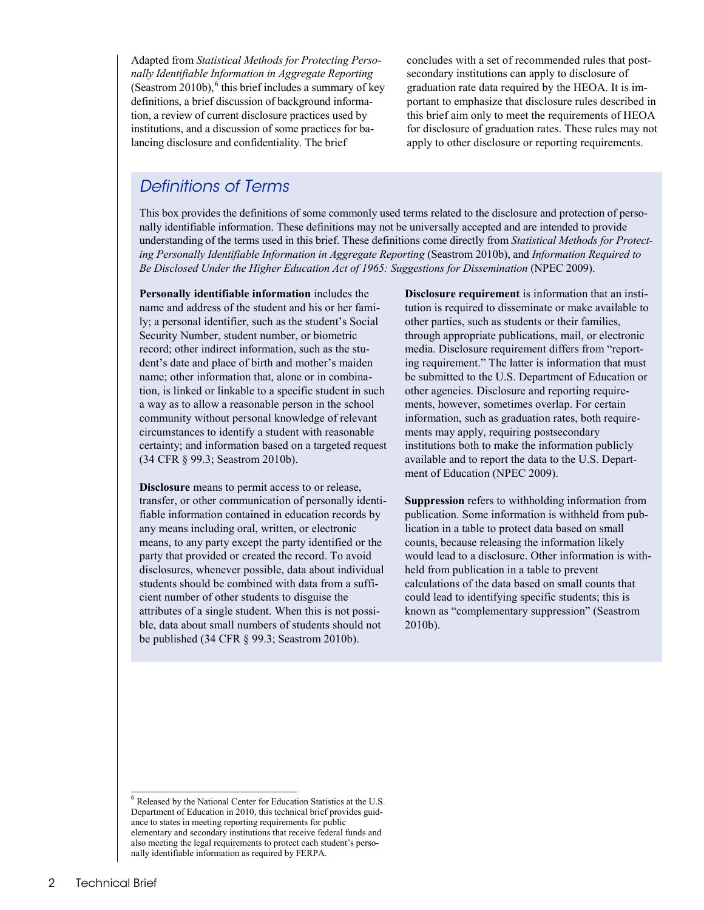Adapted from *Statistical Methods for Protecting Personally Identifiable Information in Aggregate Reporting* (Seastrom  $2010b$ ), <sup>[6](#page-1-0)</sup> this brief includes a summary of key definitions, a brief discussion of background information, a review of current disclosure practices used by institutions, and a discussion of some practices for balancing disclosure and confidentiality. The brief

concludes with a set of recommended rules that postsecondary institutions can apply to disclosure of graduation rate data required by the HEOA. It is important to emphasize that disclosure rules described in this brief aim only to meet the requirements of HEOA for disclosure of graduation rates. These rules may not apply to other disclosure or reporting requirements.

## *Definitions of Terms*

This box provides the definitions of some commonly used terms related to the disclosure and protection of personally identifiable information. These definitions may not be universally accepted and are intended to provide understanding of the terms used in this brief. These definitions come directly from *Statistical Methods for Protecting Personally Identifiable Information in Aggregate Reporting* (Seastrom 2010b), and *Information Required to Be Disclosed Under the Higher Education Act of 1965: Suggestions for Dissemination* (NPEC 2009).

**Personally identifiable information** includes the name and address of the student and his or her family; a personal identifier, such as the student's Social Security Number, student number, or biometric record; other indirect information, such as the student's date and place of birth and mother's maiden name; other information that, alone or in combination, is linked or linkable to a specific student in such a way as to allow a reasonable person in the school community without personal knowledge of relevant circumstances to identify a student with reasonable certainty; and information based on a targeted request (34 CFR § 99.3; Seastrom 2010b).

**Disclosure** means to permit access to or release, transfer, or other communication of personally identifiable information contained in education records by any means including oral, written, or electronic means, to any party except the party identified or the party that provided or created the record. To avoid disclosures, whenever possible, data about individual students should be combined with data from a sufficient number of other students to disguise the attributes of a single student. When this is not possible, data about small numbers of students should not be published (34 CFR § 99.3; Seastrom 2010b).

**Disclosure requirement** is information that an institution is required to disseminate or make available to other parties, such as students or their families, through appropriate publications, mail, or electronic media. Disclosure requirement differs from "reporting requirement." The latter is information that must be submitted to the U.S. Department of Education or other agencies. Disclosure and reporting requirements, however, sometimes overlap. For certain information, such as graduation rates, both requirements may apply, requiring postsecondary institutions both to make the information publicly available and to report the data to the U.S. Department of Education (NPEC 2009).

**Suppression** refers to withholding information from publication. Some information is withheld from publication in a table to protect data based on small counts, because releasing the information likely would lead to a disclosure. Other information is withheld from publication in a table to prevent calculations of the data based on small counts that could lead to identifying specific students; this is known as "complementary suppression" (Seastrom 2010b).

<span id="page-1-0"></span> 6 Released by the National Center for Education Statistics at the U.S. Department of Education in 2010, this technical brief provides guidance to states in meeting reporting requirements for public elementary and secondary institutions that receive federal funds and also meeting the legal requirements to protect each student's personally identifiable information as required by FERPA.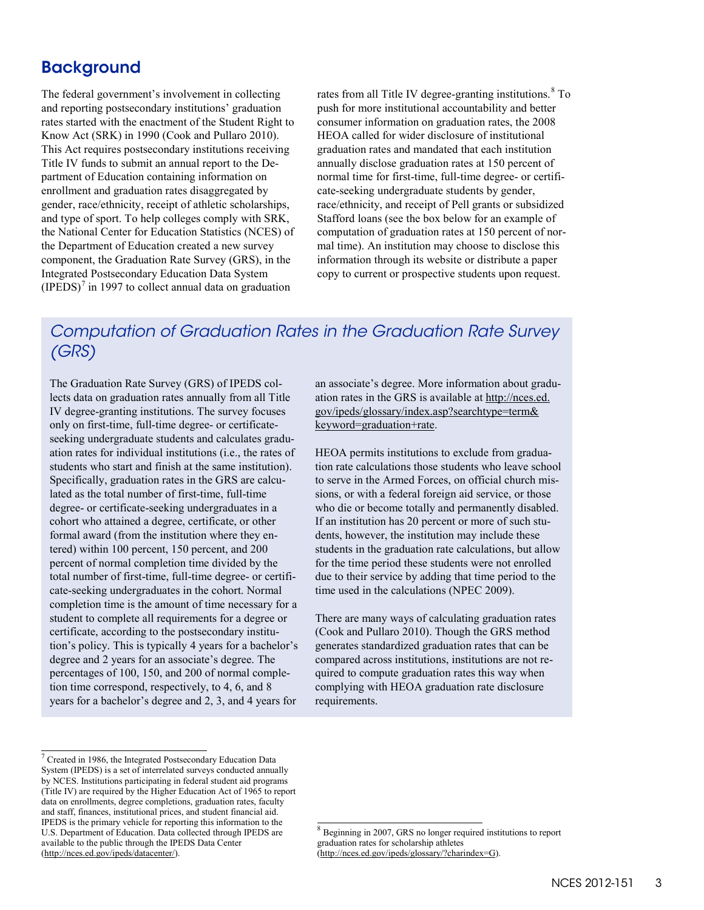## **Background**

The federal government's involvement in collecting and reporting postsecondary institutions' graduation rates started with the enactment of the Student Right to Know Act (SRK) in 1990 (Cook and Pullaro 2010). This Act requires postsecondary institutions receiving Title IV funds to submit an annual report to the Department of Education containing information on enrollment and graduation rates disaggregated by gender, race/ethnicity, receipt of athletic scholarships, and type of sport. To help colleges comply with SRK, the National Center for Education Statistics (NCES) of the Department of Education created a new survey component, the Graduation Rate Survey (GRS), in the Integrated Postsecondary Education Data System  $(IPEDS)<sup>7</sup>$  $(IPEDS)<sup>7</sup>$  $(IPEDS)<sup>7</sup>$  in 1997 to collect annual data on graduation

rates from all Title IV degree-granting institutions.<sup>[8](#page-2-1)</sup> To push for more institutional accountability and better consumer information on graduation rates, the 2008 HEOA called for wider disclosure of institutional graduation rates and mandated that each institution annually disclose graduation rates at 150 percent of normal time for first-time, full-time degree- or certificate-seeking undergraduate students by gender, race/ethnicity, and receipt of Pell grants or subsidized Stafford loans (see the box below for an example of computation of graduation rates at 150 percent of normal time). An institution may choose to disclose this information through its website or distribute a paper copy to current or prospective students upon request.

# *Computation of Graduation Rates in the Graduation Rate Survey (GRS)*

The Graduation Rate Survey (GRS) of IPEDS collects data on graduation rates annually from all Title IV degree-granting institutions. The survey focuses only on first-time, full-time degree- or certificateseeking undergraduate students and calculates graduation rates for individual institutions (i.e., the rates of students who start and finish at the same institution). Specifically, graduation rates in the GRS are calculated as the total number of first-time, full-time degree- or certificate-seeking undergraduates in a cohort who attained a degree, certificate, or other formal award (from the institution where they entered) within 100 percent, 150 percent, and 200 percent of normal completion time divided by the total number of first-time, full-time degree- or certificate-seeking undergraduates in the cohort. Normal completion time is the amount of time necessary for a student to complete all requirements for a degree or certificate, according to the postsecondary institution's policy. This is typically 4 years for a bachelor's degree and 2 years for an associate's degree. The percentages of 100, 150, and 200 of normal completion time correspond, respectively, to 4, 6, and 8 years for a bachelor's degree and 2, 3, and 4 years for

an associate's degree. More information about graduation rates in the GRS is available at [http://nces.ed.](http://nces.ed.gov/ipeds/glossary/index.asp?searchtype=term&keyword=graduation+rate) [gov/ipeds/glossary/index.asp?searchtype=term&](http://nces.ed.gov/ipeds/glossary/index.asp?searchtype=term&keyword=graduation+rate) [keyword=graduation+rate.](http://nces.ed.gov/ipeds/glossary/index.asp?searchtype=term&keyword=graduation+rate) 

HEOA permits institutions to exclude from graduation rate calculations those students who leave school to serve in the Armed Forces, on official church missions, or with a federal foreign aid service, or those who die or become totally and permanently disabled. If an institution has 20 percent or more of such students, however, the institution may include these students in the graduation rate calculations, but allow for the time period these students were not enrolled due to their service by adding that time period to the time used in the calculations (NPEC 2009).

There are many ways of calculating graduation rates (Cook and Pullaro 2010). Though the GRS method generates standardized graduation rates that can be compared across institutions, institutions are not required to compute graduation rates this way when complying with HEOA graduation rate disclosure requirements.

<span id="page-2-1"></span><span id="page-2-0"></span> $\overline{a}$ <sup>7</sup> Created in 1986, the Integrated Postsecondary Education Data System (IPEDS) is a set of interrelated surveys conducted annually by NCES. Institutions participating in federal student aid programs (Title IV) are required by the Higher Education Act of 1965 to report data on enrollments, degree completions, graduation rates, faculty and staff, finances, institutional prices, and student financial aid. IPEDS is the primary vehicle for reporting this information to the U.S. Department of Education. Data collected through IPEDS are available to the public through the IPEDS Data Center ( [http://nces.ed.gov/ipeds/datacenter/\)](http://nces.ed.gov/ipeds/datacenter/).

 $\overline{\phantom{a}}$ <sup>8</sup> Beginning in 2007, GRS no longer required institutions to report graduation rates for scholarship athletes [\(http://nces.ed.gov/ipeds/glossary/?charindex=G\).](http://nces.ed.gov/ipeds/glossary/?charindex=G)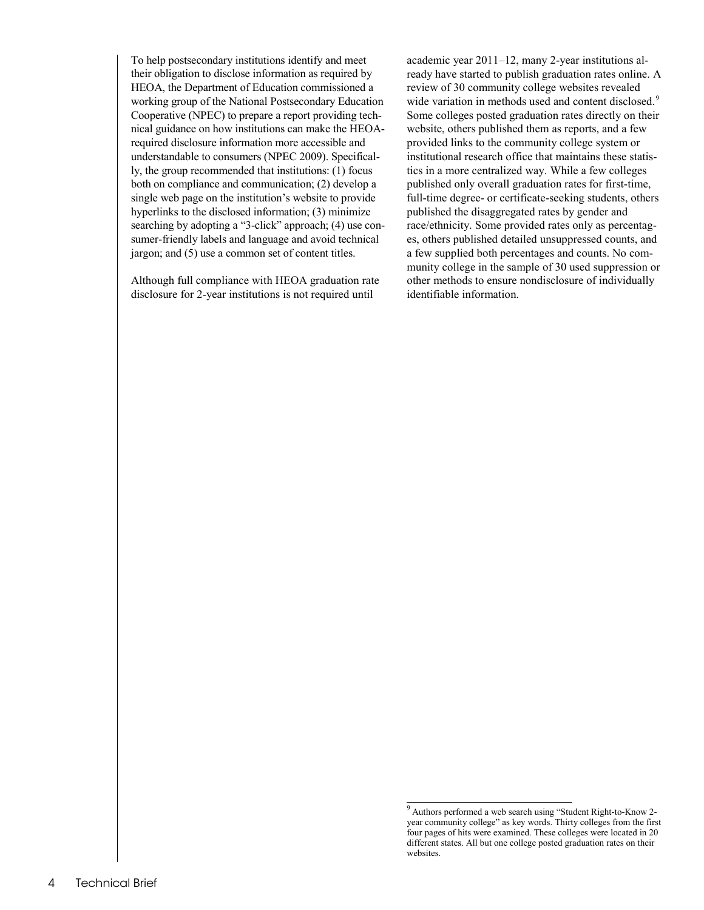To help postsecondary institutions identify and meet their obligation to disclose information as required by HEOA, the Department of Education commissioned a working group of the National Postsecondary Education Cooperative (NPEC) to prepare a report providing technical guidance on how institutions can make the HEOArequired disclosure information more accessible and understandable to consumers (NPEC 2009). Specifically, the group recommended that institutions: (1) focus both on compliance and communication; (2) develop a single web page on the institution's website to provide hyperlinks to the disclosed information; (3) minimize searching by adopting a "3-click" approach; (4) use consumer-friendly labels and language and avoid technical jargon; and (5) use a common set of content titles.

Although full compliance with HEOA graduation rate disclosure for 2-year institutions is not required until

academic year 2011–12, many 2-year institutions already have started to publish graduation rates online. A review of 30 community college websites revealed wide variation in methods used and content disclosed.<sup>[9](#page-3-0)</sup> Some colleges posted graduation rates directly on their website, others published them as reports, and a few provided links to the community college system or institutional research office that maintains these statistics in a more centralized way. While a few colleges published only overall graduation rates for first-time, full-time degree- or certificate-seeking students, others published the disaggregated rates by gender and race/ethnicity. Some provided rates only as percentages, others published detailed unsuppressed counts, and a few supplied both percentages and counts. No community college in the sample of 30 used suppression or other methods to ensure nondisclosure of individually identifiable information.

<span id="page-3-0"></span> 9 Authors performed a web search using "Student Right-to-Know 2 year community college" as key words. Thirty colleges from the first four pages of hits were examined. These colleges were located in 20 different states. All but one college posted graduation rates on their websites.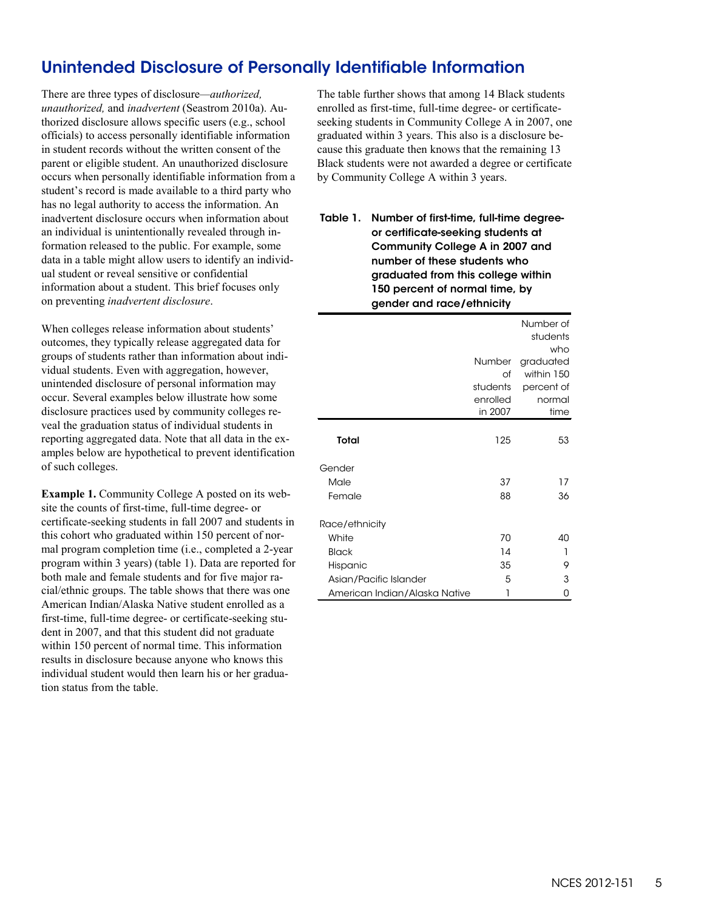# Unintended Disclosure of Personally Identifiable Information

There are three types of disclosure*—authorized, unauthorized,* and *inadvertent* (Seastrom 2010a). Authorized disclosure allows specific users (e.g., school officials) to access personally identifiable information in student records without the written consent of the parent or eligible student. An unauthorized disclosure occurs when personally identifiable information from a student's record is made available to a third party who has no legal authority to access the information. An inadvertent disclosure occurs when information about an individual is unintentionally revealed through information released to the public. For example, some data in a table might allow users to identify an individual student or reveal sensitive or confidential information about a student. This brief focuses only on preventing *inadvertent disclosure*.

When colleges release information about students' outcomes, they typically release aggregated data for groups of students rather than information about individual students. Even with aggregation, however, unintended disclosure of personal information may occur. Several examples below illustrate how some disclosure practices used by community colleges reveal the graduation status of individual students in reporting aggregated data. Note that all data in the examples below are hypothetical to prevent identification of such colleges.

**Example 1.** Community College A posted on its website the counts of first-time, full-time degree- or certificate-seeking students in fall 2007 and students in this cohort who graduated within 150 percent of normal program completion time (i.e., completed a 2-year program within 3 years) (table 1). Data are reported for both male and female students and for five major racial/ethnic groups. The table shows that there was one American Indian/Alaska Native student enrolled as a first-time, full-time degree- or certificate-seeking student in 2007, and that this student did not graduate within 150 percent of normal time. This information results in disclosure because anyone who knows this individual student would then learn his or her graduation status from the table.

The table further shows that among 14 Black students enrolled as first-time, full-time degree- or certificateseeking students in Community College A in 2007, one graduated within 3 years. This also is a disclosure because this graduate then knows that the remaining 13 Black students were not awarded a degree or certificate by Community College A within 3 years.

#### Table 1. Number of first-time, full-time degreeor certificate-seeking students at Community College A in 2007 and number of these students who graduated from this college within 150 percent of normal time, by gender and race/ethnicity

|                               |          | Number of<br>students<br>who |
|-------------------------------|----------|------------------------------|
|                               | Number   | graduated                    |
|                               | of       | within 150                   |
|                               | students | percent of                   |
|                               | enrolled | normal                       |
|                               | in 2007  | time                         |
| Total                         | 125      | 53                           |
| Gender                        |          |                              |
| Male                          | 37       | 17                           |
| Female                        | 88       | 36                           |
| Race/ethnicity                |          |                              |
| White                         | 70       | 40                           |
| <b>Black</b>                  | 14       | 1                            |
| Hispanic                      | 35       | 9                            |
| Asian/Pacific Islander        | 5        | 3                            |
| American Indian/Alaska Native | 1        | 0                            |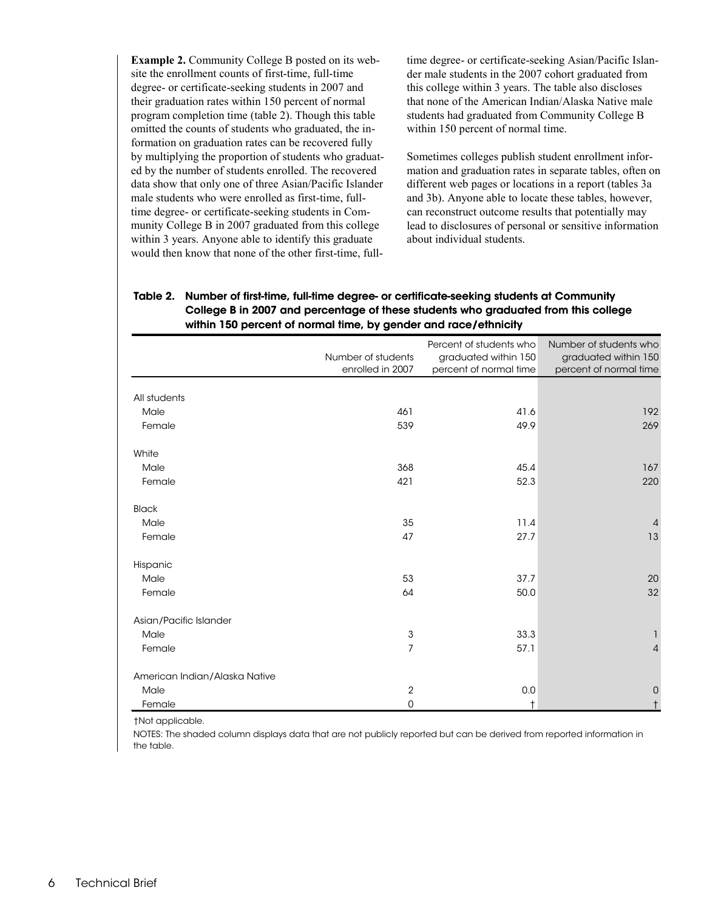**Example 2.** Community College B posted on its website the enrollment counts of first-time, full-time degree- or certificate-seeking students in 2007 and their graduation rates within 150 percent of normal program completion time (table 2). Though this table omitted the counts of students who graduated, the information on graduation rates can be recovered fully by multiplying the proportion of students who graduated by the number of students enrolled. The recovered data show that only one of three Asian/Pacific Islander male students who were enrolled as first-time, fulltime degree- or certificate-seeking students in Community College B in 2007 graduated from this college within 3 years. Anyone able to identify this graduate would then know that none of the other first-time, fulltime degree- or certificate-seeking Asian/Pacific Islander male students in the 2007 cohort graduated from this college within 3 years. The table also discloses that none of the American Indian/Alaska Native male students had graduated from Community College B within 150 percent of normal time.

Sometimes colleges publish student enrollment information and graduation rates in separate tables, often on different web pages or locations in a report (tables 3a and 3b). Anyone able to locate these tables, however, can reconstruct outcome results that potentially may lead to disclosures of personal or sensitive information about individual students.

#### Table 2. Number of first-time, full-time degree- or certificate-seeking students at Community College B in 2007 and percentage of these students who graduated from this college within 150 percent of normal time, by gender and race/ethnicity

|                               | Number of students<br>enrolled in 2007 | Percent of students who<br>graduated within 150<br>percent of normal time | Number of students who<br>graduated within 150<br>percent of normal time |
|-------------------------------|----------------------------------------|---------------------------------------------------------------------------|--------------------------------------------------------------------------|
| All students                  |                                        |                                                                           |                                                                          |
| Male                          | 461                                    | 41.6                                                                      | 192                                                                      |
| Female                        | 539                                    | 49.9                                                                      | 269                                                                      |
| White                         |                                        |                                                                           |                                                                          |
| Male                          | 368                                    | 45.4                                                                      | 167                                                                      |
| Female                        | 421                                    | 52.3                                                                      | 220                                                                      |
| <b>Black</b>                  |                                        |                                                                           |                                                                          |
| Male                          | 35                                     | 11.4                                                                      | $\overline{4}$                                                           |
| Female                        | 47                                     | 27.7                                                                      | 13                                                                       |
| Hispanic                      |                                        |                                                                           |                                                                          |
| Male                          | 53                                     | 37.7                                                                      | 20                                                                       |
| Female                        | 64                                     | 50.0                                                                      | 32                                                                       |
| Asian/Pacific Islander        |                                        |                                                                           |                                                                          |
| Male                          | $\mathsf 3$                            | 33.3                                                                      |                                                                          |
| Female                        | $\overline{7}$                         | 57.1                                                                      | $\overline{4}$                                                           |
| American Indian/Alaska Native |                                        |                                                                           |                                                                          |
| Male                          | $\overline{2}$                         | $0.0\,$                                                                   | $\mathbf 0$                                                              |
| Female                        | 0                                      | $\ddagger$                                                                |                                                                          |

†Not applicable.

NOTES: The shaded column displays data that are not publicly reported but can be derived from reported information in the table.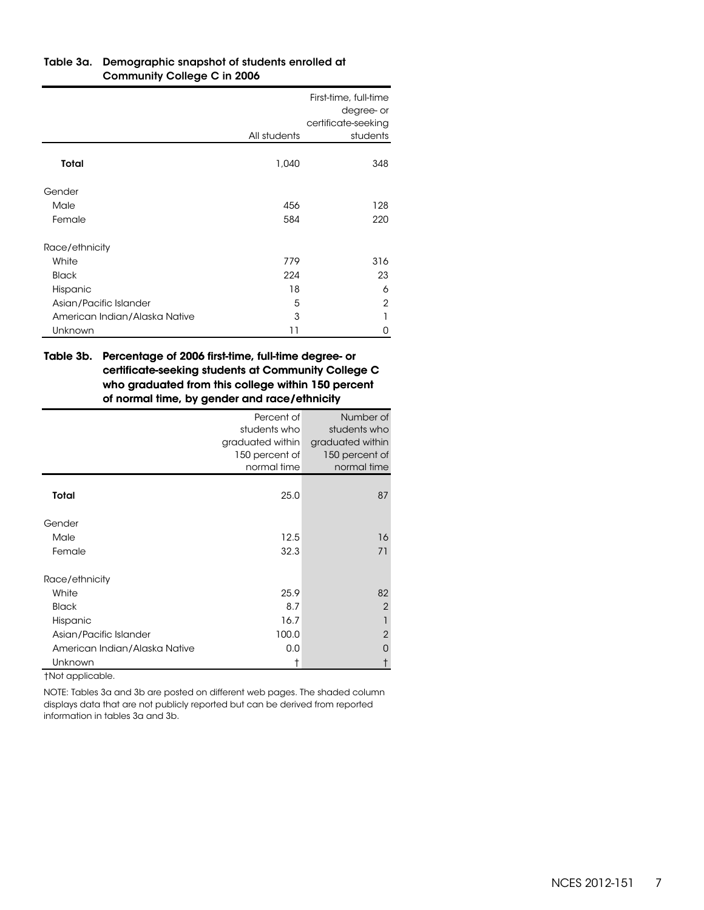| Table 3a. Demographic snapshot of students enrolled at |
|--------------------------------------------------------|
| Community College C in 2006                            |

|                               |              | First-time, full-time<br>degree- or<br>certificate-seeking |
|-------------------------------|--------------|------------------------------------------------------------|
|                               | All students | students                                                   |
| Total                         | 1,040        | 348                                                        |
| Gender                        |              |                                                            |
| Male                          | 456          | 128                                                        |
| Female                        | 584          | 220                                                        |
| Race/ethnicity                |              |                                                            |
| White                         | 779          | 316                                                        |
| <b>Black</b>                  | 224          | 23                                                         |
| Hispanic                      | 18           | 6                                                          |
| Asian/Pacific Islander        | 5            | $\overline{2}$                                             |
| American Indian/Alaska Native | 3            |                                                            |
| Unknown                       | 11           | 0                                                          |

#### Table 3b.—Percentage of 2006 first-time, full-time degree- or certificate-seeking students at Community College C who graduated from this college within 150 percent of normal time, by gender and race/ethnicity

|                               | Percent of       | Number of        |
|-------------------------------|------------------|------------------|
|                               | students who     | students who     |
|                               | graduated within | graduated within |
|                               | 150 percent of   | 150 percent of   |
|                               | normal time      | normal time      |
|                               |                  |                  |
| Total                         | 25.0             | 87               |
| Gender                        |                  |                  |
| Male                          | 12.5             | 16               |
| Female                        | 32.3             | 71               |
| Race/ethnicity                |                  |                  |
| White                         | 25.9             | 82               |
| <b>Black</b>                  | 8.7              | $\overline{2}$   |
| Hispanic                      | 16.7             | 1                |
| Asian/Pacific Islander        | 100.0            | $\overline{2}$   |
| American Indian/Alaska Native | 0.0              | Ω                |
| Unknown                       | Ť                |                  |

†Not applicable.

NOTE: Tables 3a and 3b are posted on different web pages. The shaded column displays data that are not publicly reported but can be derived from reported information in tables 3a and 3b.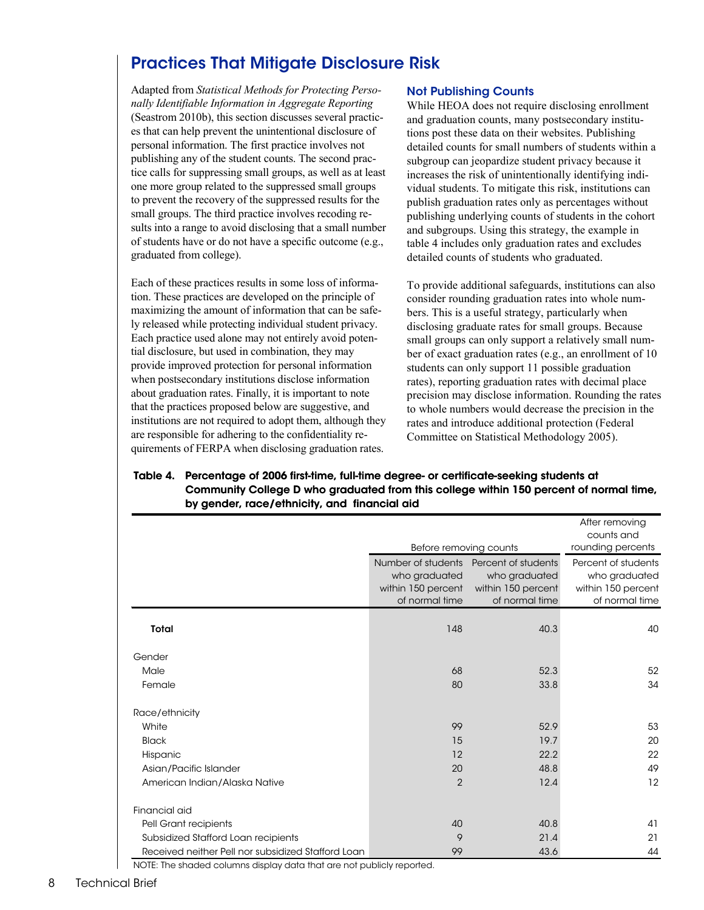# Practices That Mitigate Disclosure Risk

Adapted from *Statistical Methods for Protecting Personally Identifiable Information in Aggregate Reporting*  (Seastrom 2010b), this section discusses several practices that can help prevent the unintentional disclosure of personal information. The first practice involves not publishing any of the student counts. The second practice calls for suppressing small groups, as well as at least one more group related to the suppressed small groups to prevent the recovery of the suppressed results for the small groups. The third practice involves recoding results into a range to avoid disclosing that a small number of students have or do not have a specific outcome (e.g., graduated from college).

Each of these practices results in some loss of information. These practices are developed on the principle of maximizing the amount of information that can be safely released while protecting individual student privacy. Each practice used alone may not entirely avoid potential disclosure, but used in combination, they may provide improved protection for personal information when postsecondary institutions disclose information about graduation rates. Finally, it is important to note that the practices proposed below are suggestive, and institutions are not required to adopt them, although they are responsible for adhering to the confidentiality requirements of FERPA when disclosing graduation rates.

#### Not Publishing Counts

While HEOA does not require disclosing enrollment and graduation counts, many postsecondary institutions post these data on their websites. Publishing detailed counts for small numbers of students within a subgroup can jeopardize student privacy because it increases the risk of unintentionally identifying individual students. To mitigate this risk, institutions can publish graduation rates only as percentages without publishing underlying counts of students in the cohort and subgroups. Using this strategy, the example in table 4 includes only graduation rates and excludes detailed counts of students who graduated.

To provide additional safeguards, institutions can also consider rounding graduation rates into whole numbers. This is a useful strategy, particularly when disclosing graduate rates for small groups. Because small groups can only support a relatively small number of exact graduation rates (e.g., an enrollment of 10 students can only support 11 possible graduation rates), reporting graduation rates with decimal place precision may disclose information. Rounding the rates to whole numbers would decrease the precision in the rates and introduce additional protection (Federal Committee on Statistical Methodology 2005).

|                                                    |                                                                             |                                                                              | After removing<br>counts and                                                 |
|----------------------------------------------------|-----------------------------------------------------------------------------|------------------------------------------------------------------------------|------------------------------------------------------------------------------|
|                                                    | Before removing counts                                                      |                                                                              | rounding percents                                                            |
|                                                    | Number of students<br>who graduated<br>within 150 percent<br>of normal time | Percent of students<br>who graduated<br>within 150 percent<br>of normal time | Percent of students<br>who graduated<br>within 150 percent<br>of normal time |
| Total                                              | 148                                                                         | 40.3                                                                         | 40                                                                           |
| Gender                                             |                                                                             |                                                                              |                                                                              |
| Male                                               | 68                                                                          | 52.3                                                                         | 52                                                                           |
| Female                                             | 80                                                                          | 33.8                                                                         | 34                                                                           |
| Race/ethnicity                                     |                                                                             |                                                                              |                                                                              |
| White                                              | 99                                                                          | 52.9                                                                         | 53                                                                           |
| <b>Black</b>                                       | 15                                                                          | 19.7                                                                         | 20                                                                           |
| Hispanic                                           | 12                                                                          | 22.2                                                                         | 22                                                                           |
| Asian/Pacific Islander                             | 20                                                                          | 48.8                                                                         | 49                                                                           |
| American Indian/Alaska Native                      | $\overline{2}$                                                              | 12.4                                                                         | 12                                                                           |
| Financial aid                                      |                                                                             |                                                                              |                                                                              |
| Pell Grant recipients                              | 40                                                                          | 40.8                                                                         | 41                                                                           |
| Subsidized Stafford Loan recipients                | 9                                                                           | 21.4                                                                         | 21                                                                           |
| Received neither Pell nor subsidized Stafford Loan | 99                                                                          | 43.6                                                                         | 44                                                                           |

#### Table 4. Percentage of 2006 first-time, full-time degree- or certificate-seeking students at Community College D who graduated from this college within 150 percent of normal time, by gender, race/ethnicity, and financial aid

NOTE: The shaded columns display data that are not publicly reported.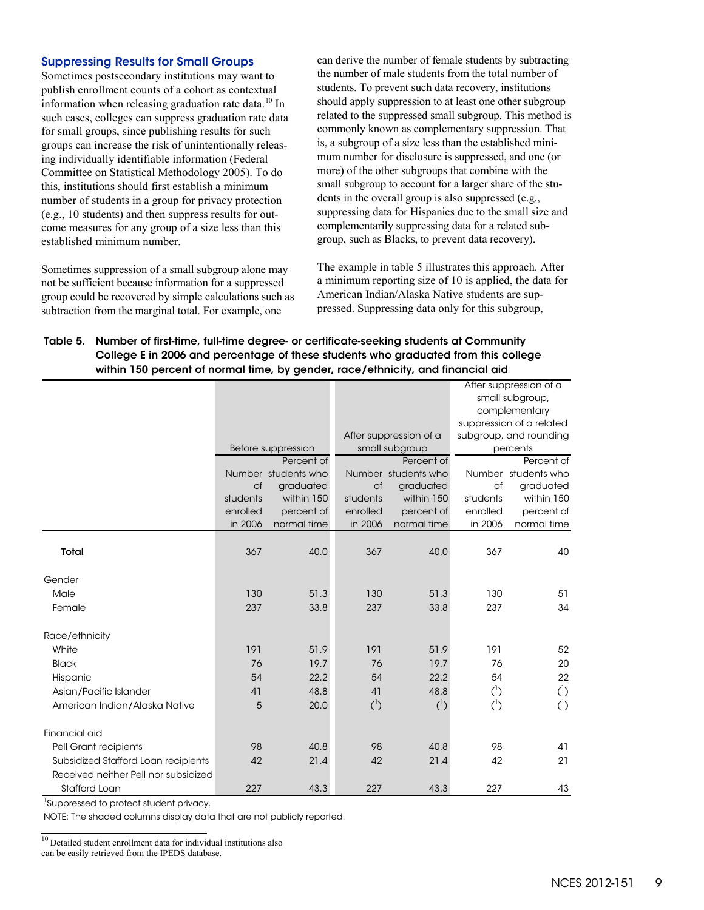#### Suppressing Results for Small Groups

 Sometimes postsecondary institutions may want to this, institutions should first establish a minimum come measures for any group of a size less than this publish enrollment counts of a cohort as contextual information when releasing graduation rate data.<sup>10</sup> In such cases, colleges can suppress graduation rate data for small groups, since publishing results for such groups can increase the risk of unintentionally releasing individually identifiable information (Federal Committee on Statistical Methodology 2005). To do number of students in a group for privacy protection (e.g., 10 students) and then suppress results for outestablished minimum number.

 Sometimes suppression of a small subgroup alone may not be sufficient because information for a suppressed group could be recovered by simple calculations such as subtraction from the marginal total. For example, one

 the number of male students from the total number of students. To prevent such data recovery, institutions related to the suppressed small subgroup. This method is is, a subgroup of a size less than the established mini- mum number for disclosure is suppressed, and one (or more) of the other subgroups that combine with the small subgroup to account for a larger share of the stucan derive the number of female students by subtracting should apply suppression to at least one other subgroup commonly known as complementary suppression. That dents in the overall group is also suppressed (e.g., suppressing data for Hispanics due to the small size and complementarily suppressing data for a related subgroup, such as Blacks, to prevent data recovery).

The example in table 5 illustrates this approach. After a minimum reporting size of 10 is applied, the data for American Indian/Alaska Native students are suppressed. Suppressing data only for this subgroup,

| Table 5. Number of first-time, full-time degree- or certificate-seeking students at Community |
|-----------------------------------------------------------------------------------------------|
| College E in 2006 and percentage of these students who graduated from this college            |
| within 150 percent of normal time, by gender, race/ethnicity, and financial aid               |

|                                      |          |                     |            | After suppression of a |                          |                     |
|--------------------------------------|----------|---------------------|------------|------------------------|--------------------------|---------------------|
|                                      |          |                     |            |                        | small subgroup,          |                     |
|                                      |          |                     |            |                        | complementary            |                     |
|                                      |          |                     |            |                        | suppression of a related |                     |
|                                      |          |                     |            | After suppression of a | subgroup, and rounding   |                     |
|                                      |          | Before suppression  |            | small subgroup         | percents                 |                     |
|                                      |          | Percent of          | Percent of |                        |                          | Percent of          |
|                                      |          | Number students who |            | Number students who    |                          | Number students who |
|                                      | of       | graduated           | of         | graduated              | of                       | graduated           |
|                                      | students | within 150          | students   | within 150             | students                 | within 150          |
|                                      | enrolled | percent of          | enrolled   | percent of             | enrolled                 | percent of          |
|                                      | in 2006  | normal time         | in 2006    | normal time            | in 2006                  | normal time         |
|                                      |          |                     |            |                        |                          |                     |
| Total                                | 367      | 40.0                | 367        | 40.0                   | 367                      | 40                  |
| Gender                               |          |                     |            |                        |                          |                     |
| Male                                 | 130      | 51.3                | 130        | 51.3                   | 130                      | 51                  |
| Female                               | 237      | 33.8                | 237        | 33.8                   | 237                      | 34                  |
| Race/ethnicity                       |          |                     |            |                        |                          |                     |
| White                                | 191      | 51.9                | 191        | 51.9                   | 191                      | 52                  |
| <b>Black</b>                         | 76       | 19.7                | 76         | 19.7                   | 76                       | 20                  |
| Hispanic                             | 54       | 22.2                | 54         | 22.2                   | 54                       | 22                  |
| Asian/Pacific Islander               | 41       | 48.8                | 41         | 48.8                   | $({}^{1})$               | $\binom{1}{2}$      |
| American Indian/Alaska Native        | 5        | 20.0                | $({}^{1})$ | $\binom{1}{2}$         | $({}^{1})$               | $({}^{1})$          |
|                                      |          |                     |            |                        |                          |                     |
| Financial aid                        |          |                     |            |                        |                          |                     |
| Pell Grant recipients                | 98       | 40.8                | 98         | 40.8                   | 98                       | 41                  |
| Subsidized Stafford Loan recipients  | 42       | 21.4                | 42         | 21.4                   | 42                       | 21                  |
| Received neither Pell nor subsidized |          |                     |            |                        |                          |                     |
| Stafford Loan                        | 227      | 43.3                | 227        | 43.3                   | 227                      | 43                  |

<sup>1</sup>Suppressed to protect student privacy.

NOTE: The shaded columns display data that are not publicly reported.

<span id="page-8-0"></span> 10 Detailed student enrollment data for individual institutions also can be easily retrieved from the IPEDS database.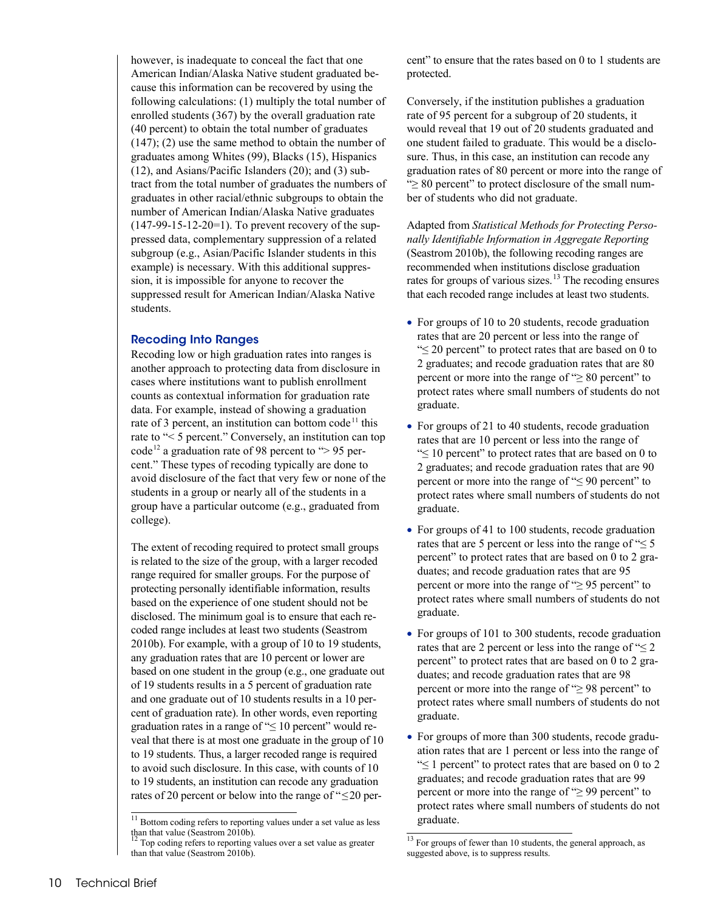however, is inadequate to conceal the fact that one American Indian/Alaska Native student graduated because this information can be recovered by using the following calculations: (1) multiply the total number of enrolled students (367) by the overall graduation rate (40 percent) to obtain the total number of graduates  $(147)$ ;  $(2)$  use the same method to obtain the number of graduates among Whites (99), Blacks (15), Hispanics (12), and Asians/Pacific Islanders (20); and (3) subtract from the total number of graduates the numbers of graduates in other racial/ethnic subgroups to obtain the number of American Indian/Alaska Native graduates  $(147-99-15-12-20=1)$ . To prevent recovery of the suppressed data, complementary suppression of a related subgroup (e.g., Asian/Pacific Islander students in this example) is necessary. With this additional suppression, it is impossible for anyone to recover the suppressed result for American Indian/Alaska Native students.

#### Recoding Into Ranges

Recoding low or high graduation rates into ranges is another approach to protecting data from disclosure in cases where institutions want to publish enrollment counts as contextual information for graduation rate data. For example, instead of showing a graduation rate of 3 percent, an institution can bottom code<sup>[11](#page-9-0)</sup> this rate to "< 5 percent." Conversely, an institution can top code<sup>[12](#page-9-1)</sup> a graduation rate of 98 percent to  $\degree$  > 95 percent." These types of recoding typically are done to avoid disclosure of the fact that very few or none of the students in a group or nearly all of the students in a group have a particular outcome (e.g., graduated from college).

The extent of recoding required to protect small groups is related to the size of the group, with a larger recoded range required for smaller groups. For the purpose of protecting personally identifiable information, results based on the experience of one student should not be disclosed. The minimum goal is to ensure that each recoded range includes at least two students (Seastrom 2010b). For example, with a group of 10 to 19 students, any graduation rates that are 10 percent or lower are based on one student in the group (e.g., one graduate out of 19 students results in a 5 percent of graduation rate and one graduate out of 10 students results in a 10 percent of graduation rate). In other words, even reporting graduation rates in a range of " $\leq 10$  percent" would reveal that there is at most one graduate in the group of 10 to 19 students. Thus, a larger recoded range is required to avoid such disclosure. In this case, with counts of 10 to 19 students, an institution can recode any graduation rates of 20 percent or below into the range of "≤20 percent" to ensure that the rates based on 0 to 1 students are protected.

Conversely, if the institution publishes a graduation rate of 95 percent for a subgroup of 20 students, it would reveal that 19 out of 20 students graduated and one student failed to graduate. This would be a disclosure. Thus, in this case, an institution can recode any graduation rates of 80 percent or more into the range of "≥ 80 percent" to protect disclosure of the small number of students who did not graduate.

Adapted from *Statistical Methods for Protecting Personally Identifiable Information in Aggregate Reporting* (Seastrom 2010b), the following recoding ranges are recommended when institutions disclose graduation rates for groups of various sizes.<sup>[13](#page-9-1)</sup> The recoding ensures that each recoded range includes at least two students.

- For groups of 10 to 20 students, recode graduation rates that are 20 percent or less into the range of "≤ 20 percent" to protect rates that are based on 0 to 2 graduates; and recode graduation rates that are 80 percent or more into the range of " $\geq 80$  percent" to protect rates where small numbers of students do not graduate.
- For groups of 21 to 40 students, recode graduation rates that are 10 percent or less into the range of "≤ 10 percent" to protect rates that are based on 0 to 2 graduates; and recode graduation rates that are 90 percent or more into the range of " $\leq 90$  percent" to protect rates where small numbers of students do not graduate.
- For groups of 41 to 100 students, recode graduation rates that are 5 percent or less into the range of " $\leq$  5 percent" to protect rates that are based on 0 to 2 graduates; and recode graduation rates that are 95 percent or more into the range of " $\geq$  95 percent" to protect rates where small numbers of students do not graduate.
- For groups of 101 to 300 students, recode graduation rates that are 2 percent or less into the range of " $\leq$  2 percent" to protect rates that are based on 0 to 2 graduates; and recode graduation rates that are 98 percent or more into the range of " $\geq$  98 percent" to protect rates where small numbers of students do not graduate.
- For groups of more than 300 students, recode graduation rates that are 1 percent or less into the range of " $\leq$  1 percent" to protect rates that are based on 0 to 2 graduates; and recode graduation rates that are 99 percent or more into the range of "≥ 99 percent" to protect rates where small numbers of students do not graduate.

<span id="page-9-0"></span><sup>&</sup>lt;sup>11</sup> Bottom coding refers to reporting values under a set value as less than that value (Seastrom 2010b). The mass contract of the set value as greater than Top coding refers to reporting values over a set value as greater

<span id="page-9-1"></span>than that value (Seastrom 2010b).

 $13$  For groups of fewer than 10 students, the general approach, as suggested above, is to suppress results.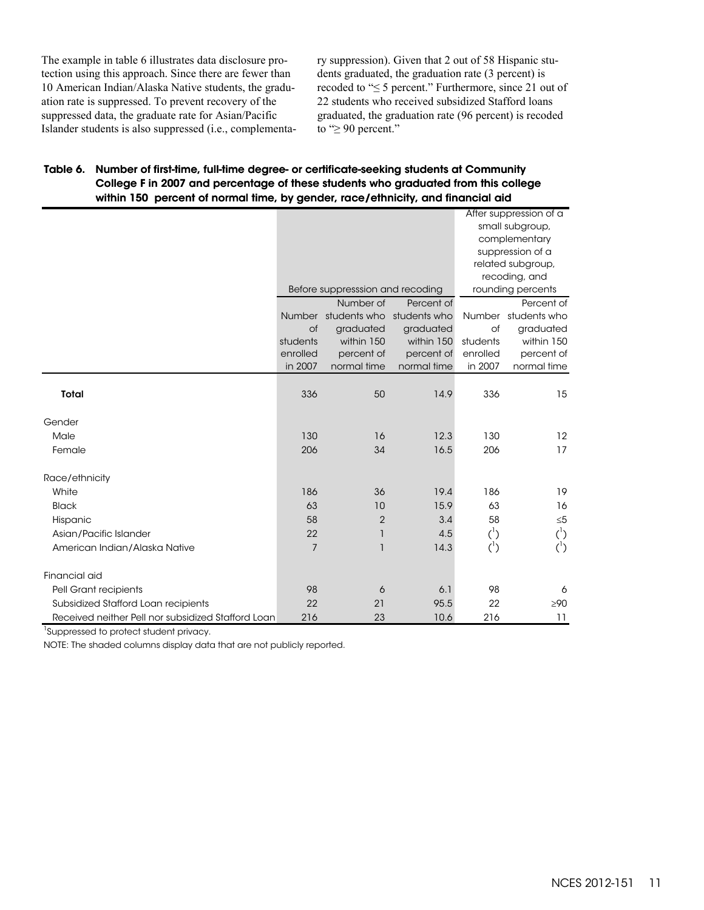The example in table 6 illustrates data disclosure protection using this approach. Since there are fewer than 10 American Indian/Alaska Native students, the graduation rate is suppressed. To prevent recovery of the suppressed data, the graduate rate for Asian/Pacific Islander students is also suppressed (i.e., complementary suppression). Given that 2 out of 58 Hispanic students graduated, the graduation rate (3 percent) is recoded to "≤ 5 percent." Furthermore, since 21 out of 22 students who received subsidized Stafford loans graduated, the graduation rate (96 percent) is recoded to "≥ 90 percent."

#### Table 6. Number of first-time, full-time degree- or certificate-seeking students at Community College F in 2007 and percentage of these students who graduated from this college within 150 percent of normal time, by gender, race/ethnicity, and financial aid

|                                                    |                |                                  |               |                   | After suppression of a |  |
|----------------------------------------------------|----------------|----------------------------------|---------------|-------------------|------------------------|--|
|                                                    |                |                                  |               | small subgroup,   |                        |  |
|                                                    |                |                                  | complementary |                   |                        |  |
|                                                    |                |                                  |               | suppression of a  |                        |  |
|                                                    |                |                                  |               | related subgroup, |                        |  |
|                                                    |                |                                  |               | recoding, and     |                        |  |
|                                                    |                | Before suppresssion and recoding |               | rounding percents |                        |  |
|                                                    |                | Number of                        | Percent of    |                   | Percent of             |  |
|                                                    |                | Number students who students who |               |                   | Number students who    |  |
|                                                    | of             | graduated                        | graduated     | of                | graduated              |  |
|                                                    | students       | within 150                       | within 150    | students          | within 150             |  |
|                                                    | enrolled       | percent of                       | percent of    | enrolled          | percent of             |  |
|                                                    | in 2007        | normal time                      | normal time   | in 2007           | normal time            |  |
|                                                    |                |                                  |               |                   |                        |  |
| Total                                              | 336            | 50                               | 14.9          | 336               | 15                     |  |
| Gender                                             |                |                                  |               |                   |                        |  |
| Male                                               | 130            | 16                               | 12.3          | 130               | 12                     |  |
| Female                                             | 206            | 34                               | 16.5          | 206               | 17                     |  |
| Race/ethnicity                                     |                |                                  |               |                   |                        |  |
| White                                              | 186            | 36                               | 19.4          | 186               | 19                     |  |
| <b>Black</b>                                       | 63             | 10                               | 15.9          | 63                | 16                     |  |
| Hispanic                                           | 58             | $\overline{2}$                   | 3.4           | 58                | $\leq 5$               |  |
| Asian/Pacific Islander                             | 22             | $\overline{1}$                   | 4.5           | $(^{1})$          | $(^{1})$               |  |
| American Indian/Alaska Native                      | $\overline{7}$ | 1                                | 14.3          | $(^{1})$          | $(^{1})$               |  |
| Financial aid                                      |                |                                  |               |                   |                        |  |
| Pell Grant recipients                              | 98             | 6                                | 6.1           | 98                | 6                      |  |
| Subsidized Stafford Loan recipients                | 22             | 21                               | 95.5          | 22                | $\geq 90$              |  |
| Received neither Pell nor subsidized Stafford Loan | 216            | 23                               | 10.6          | 216               | 11                     |  |

<sup>1</sup>Suppressed to protect student privacy.

NOTE: The shaded columns display data that are not publicly reported.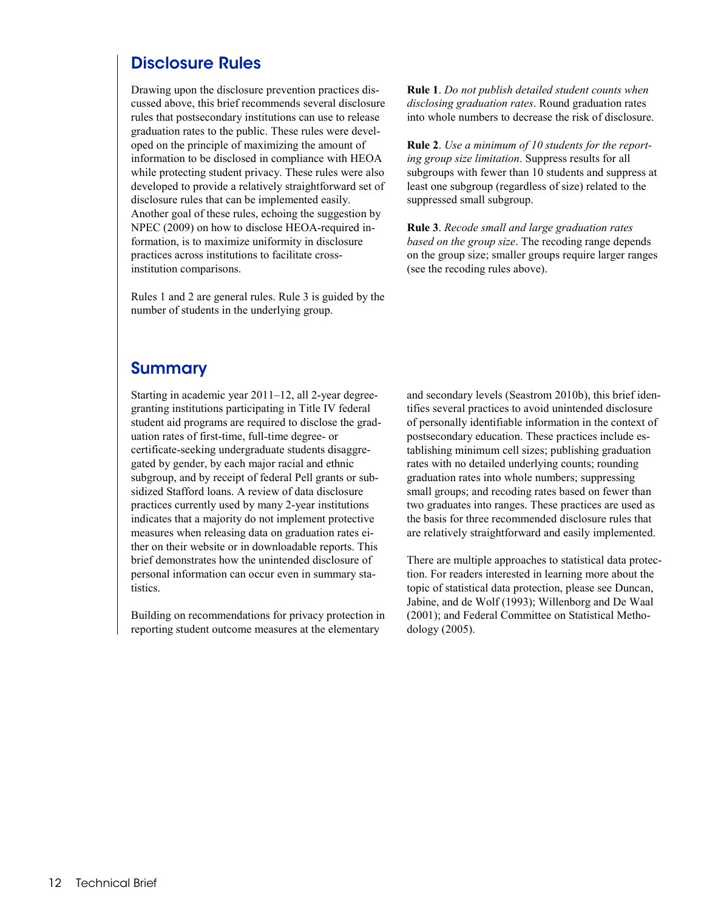## Disclosure Rules

Drawing upon the disclosure prevention practices discussed above, this brief recommends several disclosure rules that postsecondary institutions can use to release graduation rates to the public. These rules were developed on the principle of maximizing the amount of information to be disclosed in compliance with HEOA while protecting student privacy. These rules were also developed to provide a relatively straightforward set of disclosure rules that can be implemented easily. Another goal of these rules, echoing the suggestion by NPEC (2009) on how to disclose HEOA-required information, is to maximize uniformity in disclosure practices across institutions to facilitate crossinstitution comparisons.

Rules 1 and 2 are general rules. Rule 3 is guided by the number of students in the underlying group.

**Rule 1**. *Do not publish detailed student counts when disclosing graduation rates*. Round graduation rates into whole numbers to decrease the risk of disclosure.

**Rule 2**. *Use a minimum of 10 students for the reporting group size limitation*. Suppress results for all subgroups with fewer than 10 students and suppress at least one subgroup (regardless of size) related to the suppressed small subgroup.

**Rule 3**. *Recode small and large graduation rates based on the group size*. The recoding range depends on the group size; smaller groups require larger ranges (see the recoding rules above).

### Summary

Starting in academic year 2011–12, all 2-year degreegranting institutions participating in Title IV federal student aid programs are required to disclose the graduation rates of first-time, full-time degree- or certificate-seeking undergraduate students disaggregated by gender, by each major racial and ethnic subgroup, and by receipt of federal Pell grants or subsidized Stafford loans. A review of data disclosure practices currently used by many 2-year institutions indicates that a majority do not implement protective measures when releasing data on graduation rates either on their website or in downloadable reports. This brief demonstrates how the unintended disclosure of personal information can occur even in summary statistics.

Building on recommendations for privacy protection in reporting student outcome measures at the elementary

and secondary levels (Seastrom 2010b), this brief identifies several practices to avoid unintended disclosure of personally identifiable information in the context of postsecondary education. These practices include establishing minimum cell sizes; publishing graduation rates with no detailed underlying counts; rounding graduation rates into whole numbers; suppressing small groups; and recoding rates based on fewer than two graduates into ranges. These practices are used as the basis for three recommended disclosure rules that are relatively straightforward and easily implemented.

There are multiple approaches to statistical data protection. For readers interested in learning more about the topic of statistical data protection, please see Duncan, Jabine, and de Wolf (1993); Willenborg and De Waal (2001); and Federal Committee on Statistical Methodology (2005).